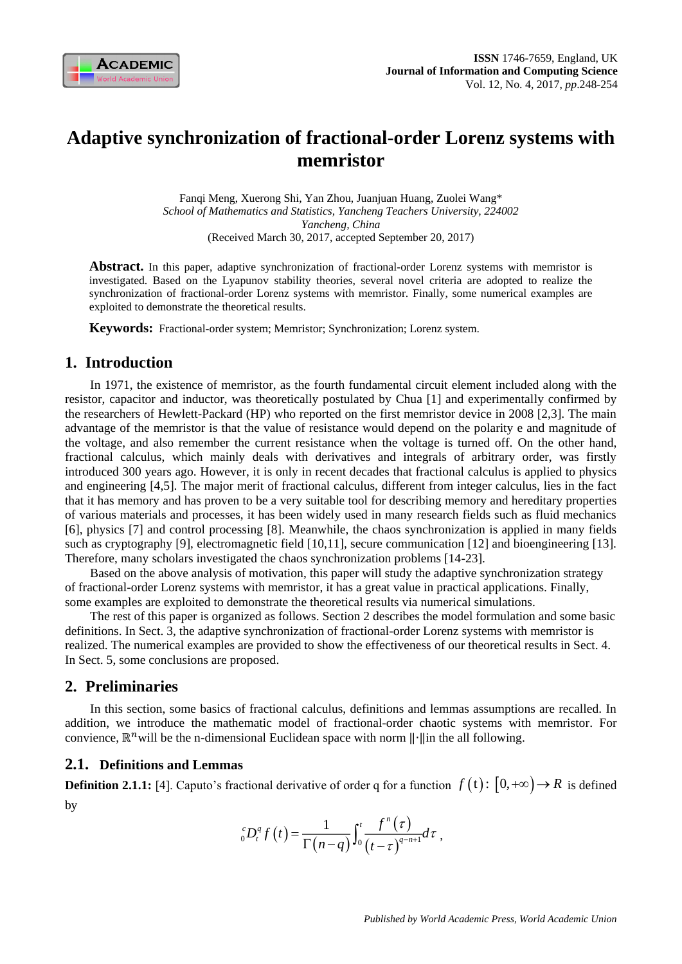

# **Adaptive synchronization of fractional-order Lorenz systems with memristor**

Fanqi Meng, Xuerong Shi, Yan Zhou, Juanjuan Huang, Zuolei Wang\* *School of Mathematics and Statistics, Yancheng Teachers University, 224002 Yancheng, China* (Received March 30, 2017, accepted September 20, 2017)

**Abstract.** In this paper, adaptive synchronization of fractional-order Lorenz systems with memristor is investigated. Based on the Lyapunov stability theories, several novel criteria are adopted to realize the synchronization of fractional-order Lorenz systems with memristor. Finally, some numerical examples are exploited to demonstrate the theoretical results.

**Keywords:** Fractional-order system; Memristor; Synchronization; Lorenz system.

# **1. Introduction**

In 1971, the existence of memristor, as the fourth fundamental circuit element included along with the resistor, capacitor and inductor, was theoretically postulated by Chua [1] and experimentally confirmed by the researchers of Hewlett-Packard (HP) who reported on the first memristor device in 2008 [2,3]. The main advantage of the memristor is that the value of resistance would depend on the polarity e and magnitude of the voltage, and also remember the current resistance when the voltage is turned off. On the other hand, fractional calculus, which mainly deals with derivatives and integrals of arbitrary order, was firstly introduced 300 years ago. However, it is only in recent decades that fractional calculus is applied to physics and engineering [4,5]. The major merit of fractional calculus, different from integer calculus, lies in the fact that it has memory and has proven to be a very suitable tool for describing memory and hereditary properties of various materials and processes, it has been widely used in many research fields such as fluid mechanics [6], physics [7] and control processing [8]. Meanwhile, the chaos synchronization is applied in many fields such as cryptography [9], electromagnetic field [10,11], secure communication [12] and bioengineering [13]. Therefore, many scholars investigated the chaos synchronization problems [14-23].

Based on the above analysis of motivation, this paper will study the adaptive synchronization strategy of fractional-order Lorenz systems with memristor, it has a great value in practical applications. Finally, some examples are exploited to demonstrate the theoretical results via numerical simulations.

The rest of this paper is organized as follows. Section 2 describes the model formulation and some basic definitions. In Sect. 3, the adaptive synchronization of fractional-order Lorenz systems with memristor is realized. The numerical examples are provided to show the effectiveness of our theoretical results in Sect. 4. In Sect. 5, some conclusions are proposed.

# **2. Preliminaries**

In this section, some basics of fractional calculus, definitions and lemmas assumptions are recalled. In addition, we introduce the mathematic model of fractional-order chaotic systems with memristor. For convience,  $\mathbb{R}^n$  will be the n-dimensional Euclidean space with norm  $\|\cdot\|$ in the all following.

# **2.1. Definitions and Lemmas**

**Definition 2.1.1:** [4]. Caputo's fractional derivative of order q for a function  $f(t)$ :  $[0, +\infty) \rightarrow R$  is defined by

$$
{}_{0}^{c}D_{t}^{q}f(t)=\frac{1}{\Gamma(n-q)}\int_{0}^{t}\frac{f^{n}(t)}{(t-\tau)^{q-n+1}}d\tau,
$$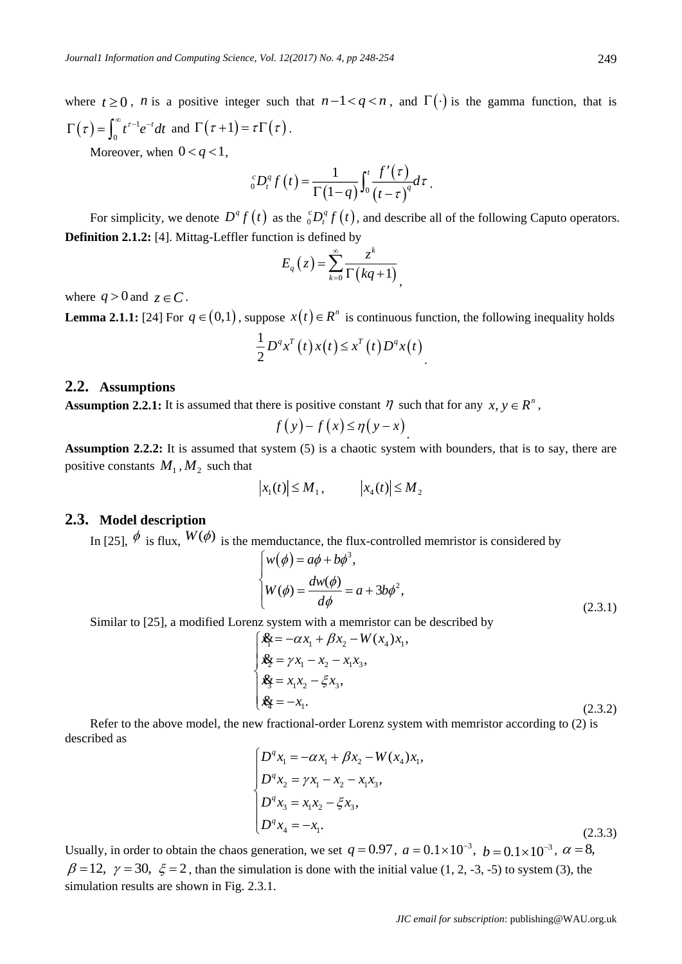249

where  $t \ge 0$ , *n* is a positive integer such that  $n-1 < q < n$ , and  $\Gamma(\cdot)$  is the gamma function, that is  $\left(\tau\right)=\int_{0}^{\infty}t^{\tau-1}% (t)\left(\tau\right)dt$ 0  $\Gamma(\tau) = \int_0^\infty t^{\tau-1} e^{-t} dt$  and  $\Gamma(\tau+1) = \tau \Gamma(\tau)$ .

Moreover, when  $0 < q < 1$ ,

$$
{}_{0}^{c}D_{t}^{q}f(t)=\frac{1}{\Gamma(1-q)}\int_{0}^{t}\frac{f'(t)}{(t-\tau)^{q}}d\tau.
$$

For simplicity, we denote  $D^q f(t)$  as the  ${}^c_0 D^q_t f(t)$ , and describe all of the following Caputo operators. **Definition 2.1.2:** [4]. Mittag-Leffler function is defined by

$$
E_q(z) = \sum_{k=0}^{\infty} \frac{z^k}{\Gamma(kq+1)},
$$

where  $q > 0$  and  $z \in C$ .

**Lemma 2.1.1:** [24] For  $q \in (0,1)$ , suppose  $x(t) \in R^n$  is continuous function, the following inequality holds  $\frac{1}{2}D^{q}x^{T}(t)x(t) \leq x^{T}(t)D^{q}x(t)$ 2  $D^q x^T(t) x(t) \le x^T(t) D^q x(t)$ .

#### **2.2. Assumptions**

**Assumption 2.2.1:** It is assumed that there is positive constant  $\eta$  such that for any  $x, y \in R^n$ ,

$$
f(y)-f(x)\leq \eta(y-x)
$$

**Assumption 2.2.2:** It is assumed that system (5) is a chaotic system with bounders, that is to say, there are positive constants  $M_1, M_2$  such that

$$
\left|x_{1}(t)\right| \leq M_{1}, \qquad \left|x_{4}(t)\right| \leq M_{2}
$$

# **2.3. Model description**

In [25],  $\oint$  is flux,  $W(\phi)$  is the memductance, the flux-controlled memristor is considered by

$$
\begin{cases}\nw(\phi) = a\phi + b\phi^3, \\
W(\phi) = \frac{dw(\phi)}{d\phi} = a + 3b\phi^2,\n\end{cases}
$$
\n(2.3.1)

Similar to [25], a modified Lorenz system with a memristor can be described by

$$
\begin{cases}\n\mathbf{x}_{\xi} = -\alpha x_1 + \beta x_2 - W(x_4) x_1, \\
\mathbf{x}_{\xi} = \gamma x_1 - x_2 - x_1 x_3, \\
\mathbf{x}_{\xi} = x_1 x_2 - \xi x_3, \\
\mathbf{x}_{\xi} = -x_1.\n\end{cases}
$$
\n(2.3.2)

Refer to the above model, the new fractional-order Lorenz system with memristor according to (2) is described as

$$
\begin{cases}\nD^q x_1 = -\alpha x_1 + \beta x_2 - W(x_4) x_1, \\
D^q x_2 = \gamma x_1 - x_2 - x_1 x_3, \\
D^q x_3 = x_1 x_2 - \xi x_3, \\
D^q x_4 = -x_1.\n\end{cases}
$$
\n(2.3.3)

Usually, in order to obtain the chaos generation, we set  $q = 0.97$ ,  $a = 0.1 \times 10^{-3}$ ,  $b = 0.1 \times 10^{-3}$ ,  $\alpha = 8$ ,  $\beta = 12$ ,  $\gamma = 30$ ,  $\xi = 2$ , than the simulation is done with the initial value (1, 2, -3, -5) to system (3), the simulation results are shown in Fig. 2.3.1.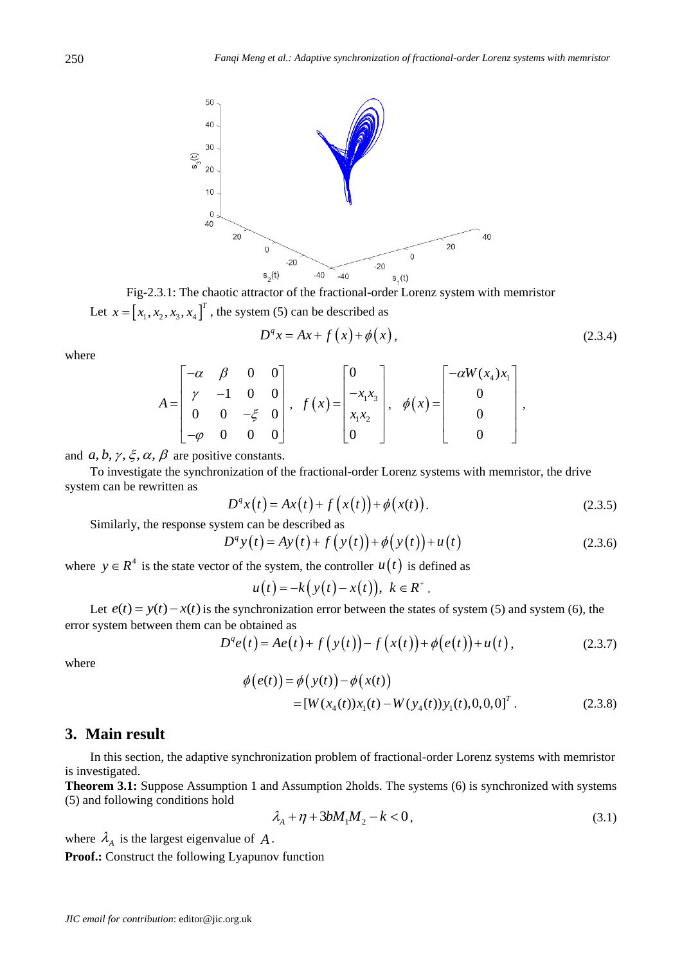

Fig-2.3.1: The chaotic attractor of the fractional-order Lorenz system with memristor Let  $x = [x_1, x_2, x_3, x_4]^T$ , the system (5) can be described as

$$
D^q x = Ax + f\left(x\right) + \phi\left(x\right),\tag{2.3.4}
$$

,

where

$$
A = \begin{bmatrix} -\alpha & \beta & 0 & 0 \\ \gamma & -1 & 0 & 0 \\ 0 & 0 & -\xi & 0 \\ -\varphi & 0 & 0 & 0 \end{bmatrix}, \quad f(x) = \begin{bmatrix} 0 \\ -x_1x_3 \\ x_1x_2 \\ 0 \end{bmatrix}, \quad \phi(x) = \begin{bmatrix} -\alpha W(x_4)x_1 \\ 0 \\ 0 \\ 0 \end{bmatrix}
$$

and  $a, b, \gamma, \xi, \alpha, \beta$  are positive constants.

To investigate the synchronization of the fractional-order Lorenz systems with memristor, the drive system can be rewritten as

$$
D^{q}x(t) = Ax(t) + f(x(t)) + \phi(x(t)).
$$
 (2.3.5)

Similarly, the response system can be described as

$$
D^{q} y(t) = Ay(t) + f(y(t)) + \phi(y(t)) + u(t)
$$
\n(2.3.6)

where  $y \in R^4$  is the state vector of the system, the controller  $u(t)$  is defined as

$$
u(t) = -k(y(t) - x(t)), \ k \in R^+.
$$

Let  $e(t) = y(t) - x(t)$  is the synchronization error between the states of system (5) and system (6), the error system between them can be obtained as

$$
D^{q}e(t) = Ae(t) + f(y(t)) - f(x(t)) + \phi(e(t)) + u(t),
$$
\n(2.3.7)

where

$$
\phi(e(t)) = \phi(y(t)) - \phi(x(t))
$$
  
= [W(x<sub>4</sub>(t))x<sub>1</sub>(t) – W(y<sub>4</sub>(t))y<sub>1</sub>(t),0,0,0]<sup>T</sup>. (2.3.8)

# **3. Main result**

In this section, the adaptive synchronization problem of fractional-order Lorenz systems with memristor is investigated.

**Theorem 3.1:** Suppose Assumption 1 and Assumption 2holds. The systems (6) is synchronized with systems (5) and following conditions hold

$$
\lambda_A + \eta + 3bM_1M_2 - k < 0,\tag{3.1}
$$

where  $\lambda_A$  is the largest eigenvalue of A.

**Proof.:** Construct the following Lyapunov function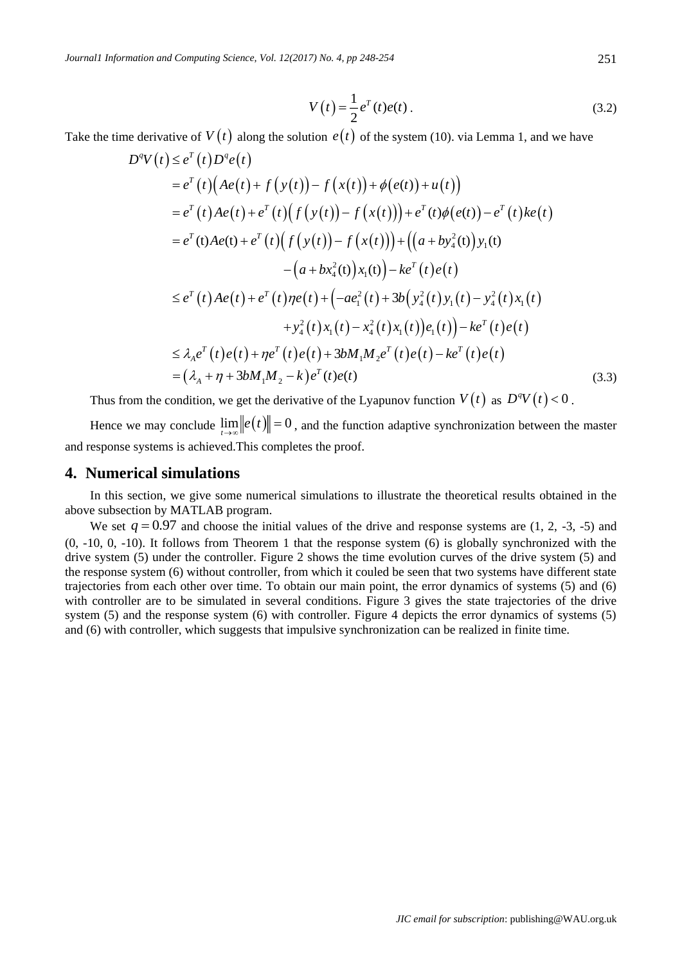$$
V(t) = \frac{1}{2}e^{T}(t)e(t).
$$
 (3.2)

Take the time derivative of  $V(t)$  along the solution  $e(t)$  of the system (10). via Lemma 1, and we have

$$
D^{q}V(t) \leq e^{T}(t)D^{q}e(t)
$$
  
\n
$$
= e^{T}(t)(Ae(t) + f(y(t)) - f(x(t)) + \phi(e(t)) + u(t))
$$
  
\n
$$
= e^{T}(t)Ae(t) + e^{T}(t)(f(y(t)) - f(x(t))) + e^{T}(t)\phi(e(t)) - e^{T}(t)ke(t)
$$
  
\n
$$
= e^{T}(t)Ae(t) + e^{T}(t)(f(y(t)) - f(x(t))) + ((a + by_{4}^{2}(t))y_{1}(t) - (a + bx_{4}^{2}(t))x_{1}(t)) - ke^{T}(t)e(t)
$$
  
\n
$$
\leq e^{T}(t)Ae(t) + e^{T}(t)\eta e(t) + (-ae_{1}^{2}(t) + 3b(y_{4}^{2}(t)y_{1}(t) - y_{4}^{2}(t)x_{1}(t) + y_{4}^{2}(t)x_{1}(t) - x_{4}^{2}(t)x_{1}(t)) - ke^{T}(t)e(t)
$$
  
\n
$$
\leq \lambda_{A}e^{T}(t)e(t) + \eta e^{T}(t)e(t) + 3bM_{1}M_{2}e^{T}(t)e(t) - ke^{T}(t)e(t)
$$
  
\n
$$
= (\lambda_{A} + \eta + 3bM_{1}M_{2} - k)e^{T}(t)e(t)
$$
\n(3.3)

Thus from the condition, we get the derivative of the Lyapunov function  $V(t)$  as  $D^qV(t) < 0$ .

Hence we may conclude  $\lim_{t\to\infty} ||e(t)|| = 0$ , and the function adaptive synchronization between the master and response systems is achieved.This completes the proof.

#### **4. Numerical simulations**

In this section, we give some numerical simulations to illustrate the theoretical results obtained in the above subsection by MATLAB program.

We set  $q = 0.97$  and choose the initial values of the drive and response systems are  $(1, 2, -3, -5)$  and (0, -10, 0, -10). It follows from Theorem 1 that the response system (6) is globally synchronized with the drive system (5) under the controller. Figure 2 shows the time evolution curves of the drive system (5) and the response system (6) without controller, from which it couled be seen that two systems have different state trajectories from each other over time. To obtain our main point, the error dynamics of systems (5) and (6) with controller are to be simulated in several conditions. Figure 3 gives the state trajectories of the drive system (5) and the response system (6) with controller. Figure 4 depicts the error dynamics of systems (5) and (6) with controller, which suggests that impulsive synchronization can be realized in finite time.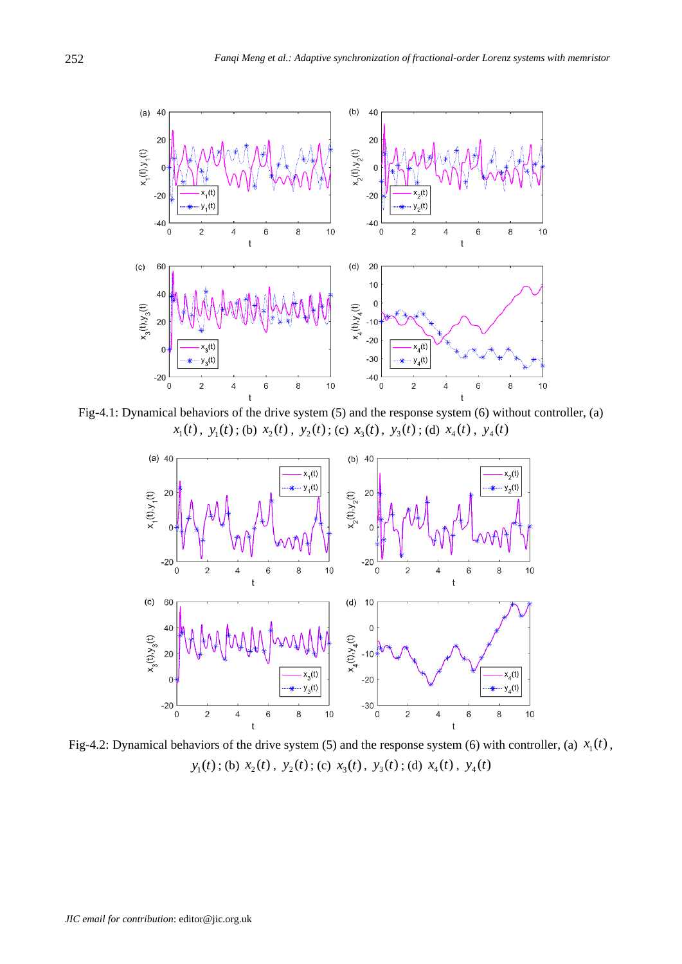

Fig-4.1: Dynamical behaviors of the drive system (5) and the response system (6) without controller, (a)  $x_1(t)$ ,  $y_1(t)$ ; (b)  $x_2(t)$ ,  $y_2(t)$ ; (c)  $x_3(t)$ ,  $y_3(t)$ ; (d)  $x_4(t)$ ,  $y_4(t)$ 



Fig-4.2: Dynamical behaviors of the drive system (5) and the response system (6) with controller, (a)  $x<sub>1</sub>(t)$ ,  $y_1(t)$ ; (b)  $x_2(t)$ ,  $y_2(t)$ ; (c)  $x_3(t)$ ,  $y_3(t)$ ; (d)  $x_4(t)$ ,  $y_4(t)$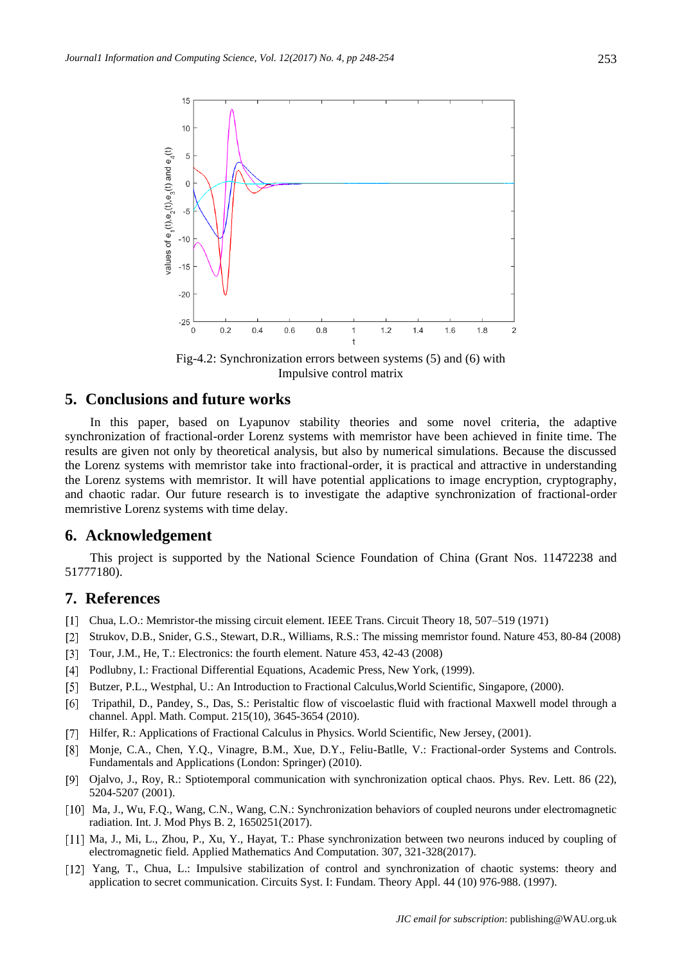

Fig-4.2: Synchronization errors between systems (5) and (6) with Impulsive control matrix

## **5. Conclusions and future works**

In this paper, based on Lyapunov stability theories and some novel criteria, the adaptive synchronization of fractional-order Lorenz systems with memristor have been achieved in finite time. The results are given not only by theoretical analysis, but also by numerical simulations. Because the discussed the Lorenz systems with memristor take into fractional-order, it is practical and attractive in understanding the Lorenz systems with memristor. It will have potential applications to image encryption, cryptography, and chaotic radar. Our future research is to investigate the adaptive synchronization of fractional-order memristive Lorenz systems with time delay.

### **6. Acknowledgement**

This project is supported by the National Science Foundation of China (Grant Nos. 11472238 and 51777180).

## **7. References**

- Chua, L.O.: Memristor-the missing circuit element. IEEE Trans. Circuit Theory 18, 507–519 (1971)
- Strukov, D.B., Snider, G.S., Stewart, D.R., Williams, R.S.: The missing memristor found. Nature 453, 80-84 (2008)
- Tour, J.M., He, T.: Electronics: the fourth element. Nature 453, 42-43 (2008)
- [4] Podlubny, I.: Fractional Differential Equations, Academic Press, New York, (1999).
- Butzer, P.L., Westphal, U.: An Introduction to Fractional Calculus,World Scientific, Singapore, (2000).
- [6] Tripathil, D., Pandey, S., Das, S.: Peristaltic flow of viscoelastic fluid with fractional Maxwell model through a channel. Appl. Math. Comput. 215(10), 3645-3654 (2010).
- [7] Hilfer, R.: Applications of Fractional Calculus in Physics. World Scientific, New Jersey, (2001).
- [8] Monje, C.A., Chen, Y.Q., Vinagre, B.M., Xue, D.Y., Feliu-Batlle, V.: Fractional-order Systems and Controls. Fundamentals and Applications (London: Springer) (2010).
- Ojalvo, J., Roy, R.: Sptiotemporal communication with synchronization optical chaos. Phys. Rev. Lett. 86 (22), 5204-5207 (2001).
- [10] Ma, J., Wu, F.O., Wang, C.N., Wang, C.N.: Synchronization behaviors of coupled neurons under electromagnetic radiation. Int. J. Mod Phys B. 2, 1650251(2017).
- [11] Ma, J., Mi, L., Zhou, P., Xu, Y., Hayat, T.: Phase synchronization between two neurons induced by coupling of electromagnetic field. Applied Mathematics And Computation. 307, 321-328(2017).
- [12] Yang, T., Chua, L.: Impulsive stabilization of control and synchronization of chaotic systems: theory and application to secret communication. Circuits Syst. I: Fundam. Theory Appl. 44 (10) 976-988. (1997).